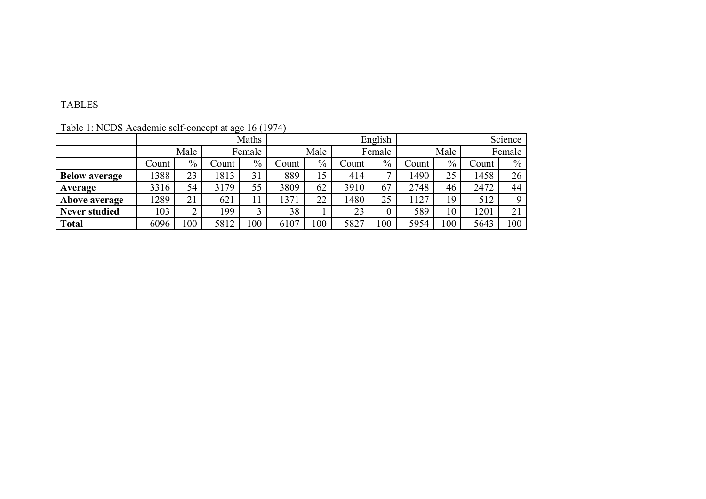## TABLES

|                      |       | Maths |       |        |       |      | English |                |       |      |       | Science |
|----------------------|-------|-------|-------|--------|-------|------|---------|----------------|-------|------|-------|---------|
|                      | Male  |       |       | Female |       | Male |         | Female         |       | Male |       | Female  |
|                      | Count | $\%$  | Count | $\%$   | Count | $\%$ | Count   | $\%$           | Count | $\%$ | Count | $\%$    |
| <b>Below average</b> | 1388  | 23    | 1813  | 31     | 889   | 15   | 414     | $\overline{ }$ | 490   | 25   | 1458  | 26      |
| Average              | 3316  | 54    | 3179  | 55     | 3809  | 62   | 3910    | 67             | 2748  | 46   | 2472  | 44      |
| Above average        | 1289  | 21    | 621   | 11     | 1371  | 22   | 1480    | 25             | 127   | 19   | 512   |         |
| <b>Never studied</b> | 103   | 2     | 99    | 3      | 38    |      | 23      |                | 589   | 10   | 1201  | 21      |
| <b>Total</b>         | 6096  | 100   | 5812  | 100    | 6107  | 100  | 5827    | 00             | 5954  | 100  | 5643  | 100     |

Table 1: NCDS Academic self-concept at age 16 (1974)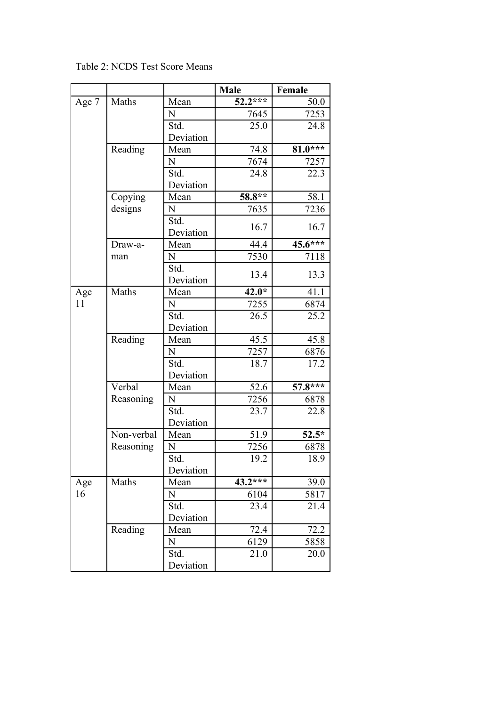|       |            |           | <b>Male</b> | Female    |
|-------|------------|-----------|-------------|-----------|
| Age 7 | Maths      | Mean      | $52.2***$   | 50.0      |
|       |            | N         | 7645        | 7253      |
|       |            | Std.      | 25.0        | 24.8      |
|       |            | Deviation |             |           |
|       | Reading    | Mean      | 74.8        | $81.0***$ |
|       |            | N         | 7674        | 7257      |
|       |            | Std.      | 24.8        | 22.3      |
|       |            | Deviation |             |           |
|       | Copying    | Mean      | 58.8**      | 58.1      |
|       | designs    | N         | 7635        | 7236      |
|       |            | Std.      |             |           |
|       |            | Deviation | 16.7        | 16.7      |
|       | Draw-a-    | Mean      | 44.4        | $45.6***$ |
|       | man        | N         | 7530        | 7118      |
|       |            | Std.      |             |           |
|       |            | Deviation | 13.4        | 13.3      |
| Age   | Maths      | Mean      | $42.0*$     | 41.1      |
| 11    |            | N         | 7255        | 6874      |
|       |            | Std.      | 26.5        | 25.2      |
|       |            | Deviation |             |           |
|       | Reading    | Mean      | 45.5        | 45.8      |
|       |            | N         | 7257        | 6876      |
|       |            | Std.      | 18.7        | 17.2      |
|       |            | Deviation |             |           |
|       | Verbal     | Mean      | 52.6        | $57.8***$ |
|       | Reasoning  | N         | 7256        | 6878      |
|       |            | Std.      | 23.7        | 22.8      |
|       |            | Deviation |             |           |
|       | Non-verbal | Mean      | 51.9        | $52.5*$   |
|       | Reasoning  | N         | 7256        | 6878      |
|       |            | Std.      | 19.2        | 18.9      |
|       |            | Deviation |             |           |
| Age   | Maths      | Mean      | $43.2***$   | 39.0      |
| 16    |            | N         | 6104        | 5817      |
|       |            | Std.      | 23.4        | 21.4      |
|       |            | Deviation |             |           |
|       | Reading    | Mean      | 72.4        | 72.2      |
|       |            | N         | 6129        | 5858      |
|       |            | Std.      | 21.0        | 20.0      |
|       |            | Deviation |             |           |

Table 2: NCDS Test Score Means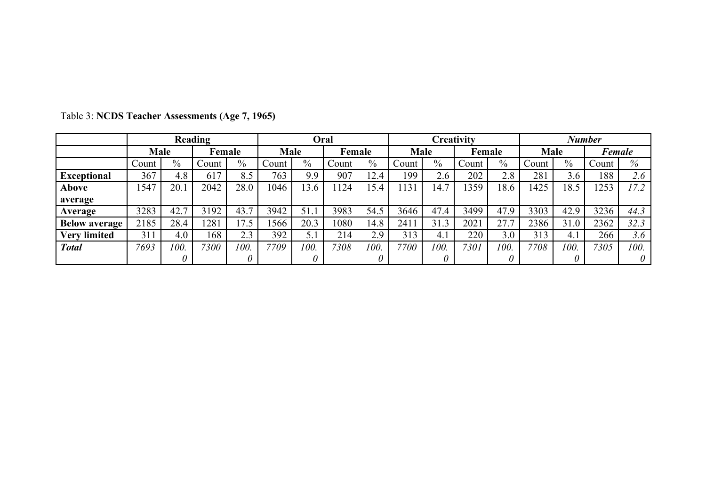|                      |       | Reading<br>Oral |        |               |       |      |        | Creativity<br><b>Number</b> |             |      |        |      |             |                   |               |      |
|----------------------|-------|-----------------|--------|---------------|-------|------|--------|-----------------------------|-------------|------|--------|------|-------------|-------------------|---------------|------|
|                      | Male  |                 | Female |               | Male  |      | Female |                             | <b>Male</b> |      | Female |      | <b>Male</b> |                   | <b>Female</b> |      |
|                      | Count | $\frac{0}{0}$   | Count  | $\frac{0}{0}$ | Count | $\%$ | Count  | $\%$                        | Count       | $\%$ | Count  | $\%$ | Count       | $\frac{0}{0}$     | Count         | %    |
| <b>Exceptional</b>   | 367   | 4.8             | 617    | 8.5           | 763   | 9.9  | 907    | 12.4                        | 199         | 2.6  | 202    | 2.8  | 281         | $\gamma$ .<br>3.6 | 188           | 2.6  |
| Above                | 547   | 20.1            | 2042   | 28.0          | 1046  | 13.6 | 124    | 15.4                        | 131         | 14.7 | 359    | 18.6 | 1425        | 18.5              | 1253          | 17.2 |
| average              |       |                 |        |               |       |      |        |                             |             |      |        |      |             |                   |               |      |
| Average              | 3283  | 42.7            | 3192   | 43.7          | 3942  | 51.1 | 3983   | 54.5                        | 3646        | 47.4 | 3499   | 47.9 | 3303        | 42.9              | 3236          | 44.3 |
| <b>Below average</b> | 2185  | 28.4            | 281    | 17.5          | 1566  | 20.3 | 1080   | 14.8                        | 241         | 31.3 | 2021   | 27.7 | 2386        | 31.0              | 2362          | 32.3 |
| <b>Very limited</b>  | 311   | 4.0             | 168    | 2.3           | 392   | 5.1  | 214    | 2.9                         | 313         | 4.1  | 220    | 3.0  | 313         | 4.1               | 266           | 3.6  |
| <b>Total</b>         | 7693  | 100.            | 7300   | 100.          | 7709  | 100. | 7308   | 100.                        | 7700        | 100. | 7301   | 100. | 7708        | 100.              | 7305          | 100. |
|                      |       | 0               |        |               |       |      |        |                             |             |      |        | 0    |             |                   |               |      |

Table 3: **NCDS Teacher Assessments (Age 7, 1965)**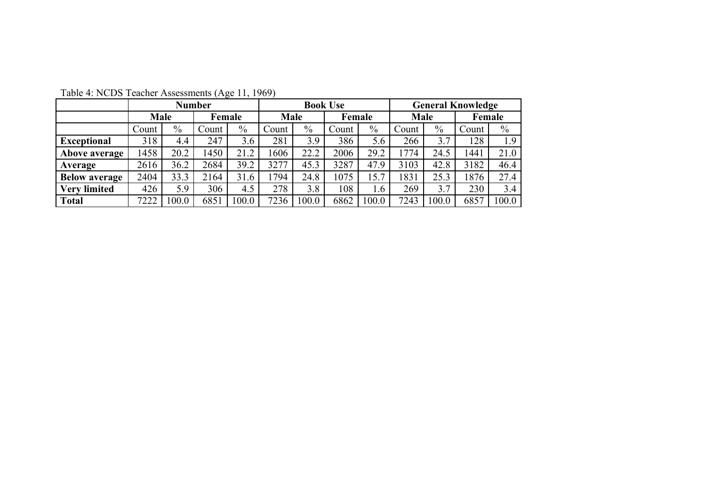|                      | <b>Number</b> |               |        |               |       |               | <b>Book Use</b> |               | <b>General Knowledge</b> |       |        |               |
|----------------------|---------------|---------------|--------|---------------|-------|---------------|-----------------|---------------|--------------------------|-------|--------|---------------|
|                      | <b>Male</b>   |               | Female |               |       | <b>Male</b>   |                 | Female        | Male                     |       | Female |               |
|                      | Count         | $\frac{0}{0}$ | Count  | $\frac{0}{0}$ | Count | $\frac{0}{0}$ | Count           | $\frac{0}{0}$ | Count                    | $\%$  | Count  | $\frac{0}{0}$ |
| <b>Exceptional</b>   | 318           | 4.4           | 247    | 3.6           | 281   | 3.9           | 386             | 5.6           | 266                      | 3.7   | 128    | 1.9           |
| Above average        | 1458          | 20.2          | 1450   | 21.2          | 606   | 22.2          | 2006            | 29.2          | 1774                     | 24.5  | 1441   | 21.0          |
| Average              | 2616          | 36.2          | 2684   | 39.2          | 3277  | 45.3          | 3287            | 47.9          | 3103                     | 42.8  | 3182   | 46.4          |
| <b>Below average</b> | 2404          | 33.3          | 2164   | 31.6          | 794   | 24.8          | 1075            | 5.7           | 831                      | 25.3  | 1876   | 27.4          |
| <b>Very limited</b>  | 426           | 5.9           | 306    | 4.5           | 278   | 3.8           | 108             | 1.6           | 269                      | 3.7   | 230    | 3.4           |
| <b>Total</b>         | 7222          | 0.001         | 6851   | 100.0         | 7236  | 100.0         | 6862            | 100.0         | 7243                     | 100.0 | 6857   | 100.0         |

Table 4: NCDS Teacher Assessments (Age 11, 1969)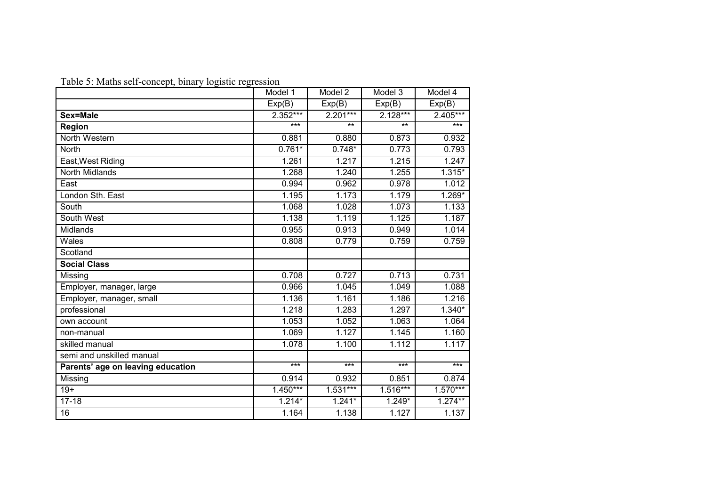Table 5: Maths self-concept, binary logistic regression

|                                   | Model 1    | Model 2    | Model 3    | Model 4    |
|-----------------------------------|------------|------------|------------|------------|
|                                   | Exp(B)     | Exp(B)     | Exp(B)     | Exp(B)     |
| Sex=Male                          | 2.352***   | $2.201***$ | $2.128***$ | $2.405***$ |
| Region                            | ***        | $***$      | $***$      | ***        |
| North Western                     | 0.881      | 0.880      | 0.873      | 0.932      |
| <b>North</b>                      | $0.761*$   | $0.748*$   | 0.773      | 0.793      |
| East, West Riding                 | 1.261      | 1.217      | 1.215      | 1.247      |
| <b>North Midlands</b>             | 1.268      | 1.240      | 1.255      | $1.315*$   |
| East                              | 0.994      | 0.962      | 0.978      | 1.012      |
| London Sth. East                  | 1.195      | 1.173      | 1.179      | $1.269*$   |
| South                             | 1.068      | 1.028      | 1.073      | 1.133      |
| South West                        | 1.138      | 1.119      | 1.125      | 1.187      |
| <b>Midlands</b>                   | 0.955      | 0.913      | 0.949      | 1.014      |
| Wales                             | 0.808      | 0.779      | 0.759      | 0.759      |
| Scotland                          |            |            |            |            |
| <b>Social Class</b>               |            |            |            |            |
| Missing                           | 0.708      | 0.727      | 0.713      | 0.731      |
| Employer, manager, large          | 0.966      | 1.045      | 1.049      | 1.088      |
| Employer, manager, small          | 1.136      | 1.161      | 1.186      | 1.216      |
| professional                      | 1.218      | 1.283      | 1.297      | $1.340*$   |
| own account                       | 1.053      | 1.052      | 1.063      | 1.064      |
| non-manual                        | 1.069      | 1.127      | 1.145      | 1.160      |
| skilled manual                    | 1.078      | 1.100      | 1.112      | 1.117      |
| semi and unskilled manual         |            |            |            |            |
| Parents' age on leaving education | ***        | ***        | $***$      | ***        |
| Missing                           | 0.914      | 0.932      | 0.851      | 0.874      |
| $19+$                             | $1.450***$ | $1.531***$ | $1.516***$ | $1.570***$ |
| $17 - 18$                         | $1.214*$   | $1.241*$   | $1.249*$   | $1.274***$ |
| $\overline{16}$                   | 1.164      | 1.138      | 1.127      | 1.137      |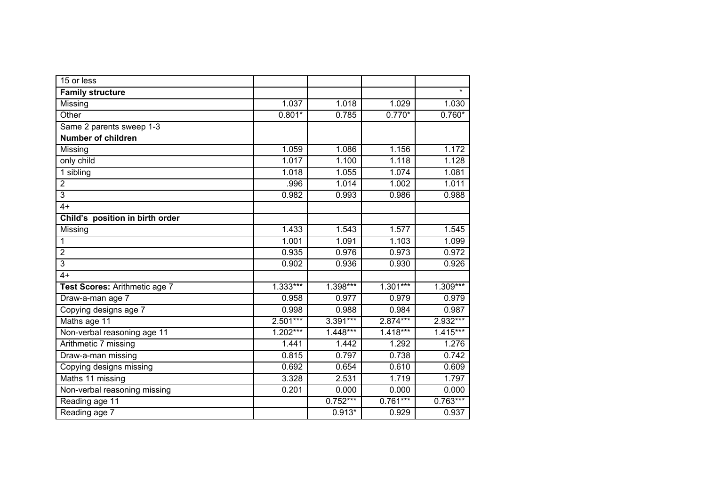| 15 or less                      |            |            |            |            |
|---------------------------------|------------|------------|------------|------------|
| <b>Family structure</b>         |            |            |            | $\star$    |
| Missing                         | 1.037      | 1.018      | 1.029      | 1.030      |
| Other                           | $0.801*$   | 0.785      | $0.770*$   | $0.760*$   |
| Same 2 parents sweep 1-3        |            |            |            |            |
| <b>Number of children</b>       |            |            |            |            |
| Missing                         | 1.059      | 1.086      | 1.156      | 1.172      |
| only child                      | 1.017      | 1.100      | 1.118      | 1.128      |
| 1 sibling                       | 1.018      | 1.055      | 1.074      | 1.081      |
| $\overline{2}$                  | .996       | 1.014      | 1.002      | 1.011      |
| $\overline{3}$                  | 0.982      | 0.993      | 0.986      | 0.988      |
| $4+$                            |            |            |            |            |
| Child's position in birth order |            |            |            |            |
| Missing                         | 1.433      | 1.543      | 1.577      | 1.545      |
| 1                               | 1.001      | 1.091      | 1.103      | 1.099      |
| $\overline{2}$                  | 0.935      | 0.976      | 0.973      | 0.972      |
| 3                               | 0.902      | 0.936      | 0.930      | 0.926      |
| $4+$                            |            |            |            |            |
| Test Scores: Arithmetic age 7   | $1.333***$ | $1.398***$ | $1.301***$ | $1.309***$ |
| Draw-a-man age 7                | 0.958      | 0.977      | 0.979      | 0.979      |
| Copying designs age 7           | 0.998      | 0.988      | 0.984      | 0.987      |
| Maths age 11                    | $2.501***$ | 3.391***   | 2.874***   | 2.932***   |
| Non-verbal reasoning age 11     | $1.202***$ | $1.448***$ | $1.418***$ | $1.415***$ |
| Arithmetic 7 missing            | 1.441      | 1.442      | 1.292      | 1.276      |
| Draw-a-man missing              | 0.815      | 0.797      | 0.738      | 0.742      |
| Copying designs missing         | 0.692      | 0.654      | 0.610      | 0.609      |
| Maths 11 missing                | 3.328      | 2.531      | 1.719      | 1.797      |
| Non-verbal reasoning missing    | 0.201      | 0.000      | 0.000      | 0.000      |
| Reading age 11                  |            | $0.752***$ | $0.761***$ | $0.763***$ |
| Reading age 7                   |            | $0.913*$   | 0.929      | 0.937      |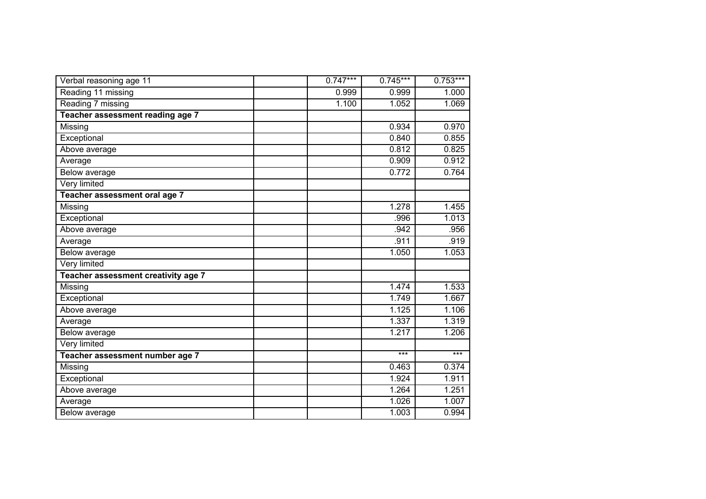| Verbal reasoning age 11             | $0.747***$ | $0.745***$ | $0.753***$ |
|-------------------------------------|------------|------------|------------|
| Reading 11 missing                  | 0.999      | 0.999      | 1.000      |
| Reading 7 missing                   | 1.100      | 1.052      | 1.069      |
| Teacher assessment reading age 7    |            |            |            |
| Missing                             |            | 0.934      | 0.970      |
| Exceptional                         |            | 0.840      | 0.855      |
| Above average                       |            | 0.812      | 0.825      |
| Average                             |            | 0.909      | 0.912      |
| Below average                       |            | 0.772      | 0.764      |
| Very limited                        |            |            |            |
| Teacher assessment oral age 7       |            |            |            |
| Missing                             |            | 1.278      | 1.455      |
| Exceptional                         |            | .996       | 1.013      |
| Above average                       |            | .942       | .956       |
| Average                             |            | .911       | .919       |
| Below average                       |            | 1.050      | 1.053      |
| Very limited                        |            |            |            |
| Teacher assessment creativity age 7 |            |            |            |
| Missing                             |            | 1.474      | 1.533      |
| Exceptional                         |            | 1.749      | 1.667      |
| Above average                       |            | 1.125      | 1.106      |
| Average                             |            | 1.337      | 1.319      |
| Below average                       |            | 1.217      | 1.206      |
| Very limited                        |            |            |            |
| Teacher assessment number age 7     |            | $***$      | $***$      |
| Missing                             |            | 0.463      | 0.374      |
| Exceptional                         |            | 1.924      | 1.911      |
| Above average                       |            | 1.264      | 1.251      |
| Average                             |            | 1.026      | 1.007      |
| Below average                       |            | 1.003      | 0.994      |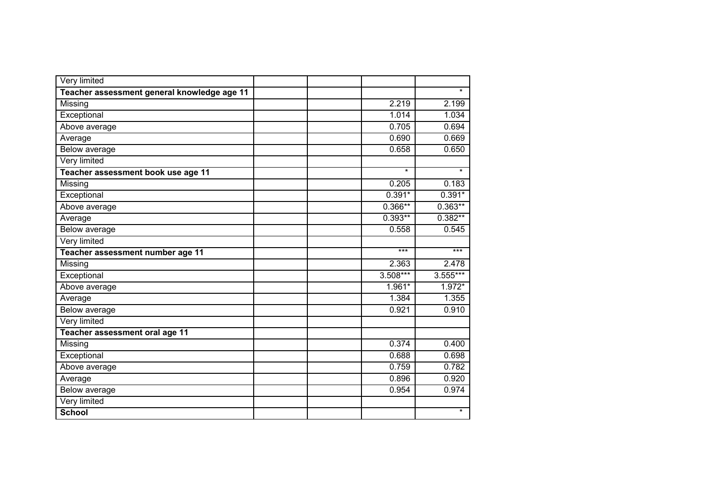| Very limited                                |  |            |           |
|---------------------------------------------|--|------------|-----------|
| Teacher assessment general knowledge age 11 |  |            | $\star$   |
| Missing                                     |  | 2.219      | 2.199     |
| Exceptional                                 |  | 1.014      | 1.034     |
| Above average                               |  | 0.705      | 0.694     |
| Average                                     |  | 0.690      | 0.669     |
| Below average                               |  | 0.658      | 0.650     |
| Very limited                                |  |            |           |
| Teacher assessment book use age 11          |  | $\star$    | $\star$   |
| Missing                                     |  | 0.205      | 0.183     |
| Exceptional                                 |  | $0.391*$   | $0.391*$  |
| Above average                               |  | $0.366**$  | $0.363**$ |
| Average                                     |  | $0.393**$  | $0.382**$ |
| Below average                               |  | 0.558      | 0.545     |
| <b>Very limited</b>                         |  |            |           |
| Teacher assessment number age 11            |  | $***$      | $***$     |
| Missing                                     |  | 2.363      | 2.478     |
| Exceptional                                 |  | $3.508***$ | 3.555***  |
| Above average                               |  | 1.961*     | 1.972*    |
| Average                                     |  | 1.384      | 1.355     |
| Below average                               |  | 0.921      | 0.910     |
| Very limited                                |  |            |           |
| Teacher assessment oral age 11              |  |            |           |
| Missing                                     |  | 0.374      | 0.400     |
| Exceptional                                 |  | 0.688      | 0.698     |
| Above average                               |  | 0.759      | 0.782     |
| Average                                     |  | 0.896      | 0.920     |
| Below average                               |  | 0.954      | 0.974     |
| Very limited                                |  |            |           |
| <b>School</b>                               |  |            | $\star$   |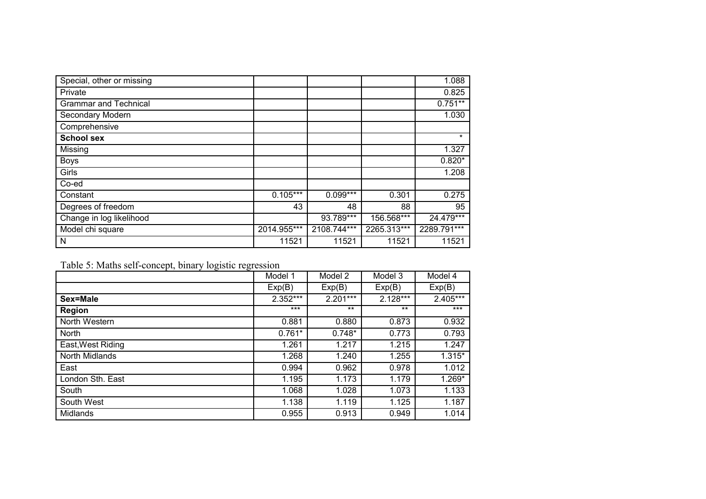| Special, other or missing    |             |             |             | 1.088       |
|------------------------------|-------------|-------------|-------------|-------------|
| Private                      |             |             |             | 0.825       |
| <b>Grammar and Technical</b> |             |             |             | $0.751**$   |
| Secondary Modern             |             |             |             | 1.030       |
| Comprehensive                |             |             |             |             |
| <b>School sex</b>            |             |             |             | $\star$     |
| Missing                      |             |             |             | 1.327       |
| <b>Boys</b>                  |             |             |             | $0.820*$    |
| Girls                        |             |             |             | 1.208       |
| Co-ed                        |             |             |             |             |
| Constant                     | $0.105***$  | $0.099***$  | 0.301       | 0.275       |
| Degrees of freedom           | 43          | 48          | 88          | 95          |
| Change in log likelihood     |             | 93.789***   | 156.568***  | $24.479***$ |
| Model chi square             | 2014.955*** | 2108.744*** | 2265.313*** | 2289.791*** |
| N                            | 11521       | 11521       | 11521       | 11521       |

Table 5: Maths self-concept, binary logistic regression

|                   | Model 1    | Model 2    | Model 3    | Model 4  |
|-------------------|------------|------------|------------|----------|
|                   | Exp(B)     | Exp(B)     | Exp(B)     | Exp(B)   |
| Sex=Male          | $2.352***$ | $2.201***$ | $2.128***$ | 2.405*** |
| Region            | $***$      | $***$      | $***$      | $***$    |
| North Western     | 0.881      | 0.880      | 0.873      | 0.932    |
| North             | $0.761*$   | $0.748*$   | 0.773      | 0.793    |
| East, West Riding | 1.261      | 1.217      | 1.215      | 1.247    |
| North Midlands    | 1.268      | 1.240      | 1.255      | $1.315*$ |
| East              | 0.994      | 0.962      | 0.978      | 1.012    |
| London Sth. East  | 1.195      | 1.173      | 1.179      | 1.269*   |
| South             | 1.068      | 1.028      | 1.073      | 1.133    |
| South West        | 1.138      | 1.119      | 1.125      | 1.187    |
| Midlands          | 0.955      | 0.913      | 0.949      | 1.014    |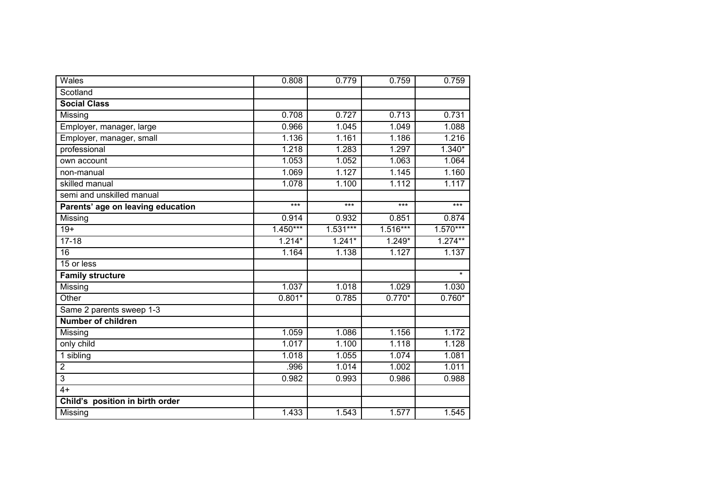| Wales                             | 0.808      | 0.779      | 0.759      | 0.759      |
|-----------------------------------|------------|------------|------------|------------|
| Scotland                          |            |            |            |            |
| <b>Social Class</b>               |            |            |            |            |
| Missing                           | 0.708      | 0.727      | 0.713      | 0.731      |
| Employer, manager, large          | 0.966      | 1.045      | 1.049      | 1.088      |
| Employer, manager, small          | 1.136      | 1.161      | 1.186      | 1.216      |
| professional                      | 1.218      | 1.283      | 1.297      | $1.340*$   |
| own account                       | 1.053      | 1.052      | 1.063      | 1.064      |
| non-manual                        | 1.069      | 1.127      | 1.145      | 1.160      |
| skilled manual                    | 1.078      | 1.100      | 1.112      | 1.117      |
| semi and unskilled manual         |            |            |            |            |
| Parents' age on leaving education | $***$      | $***$      | $***$      | $***$      |
| Missing                           | 0.914      | 0.932      | 0.851      | 0.874      |
| $19+$                             | $1.450***$ | $1.531***$ | $1.516***$ | $1.570***$ |
| $17 - 18$                         | $1.214*$   | $1.241*$   | $1.249*$   | $1.274***$ |
| $\overline{16}$                   | 1.164      | 1.138      | 1.127      | 1.137      |
| 15 or less                        |            |            |            |            |
| <b>Family structure</b>           |            |            |            | $\star$    |
| Missing                           | 1.037      | 1.018      | 1.029      | 1.030      |
| Other                             | $0.801*$   | 0.785      | $0.770*$   | $0.760*$   |
| Same 2 parents sweep 1-3          |            |            |            |            |
| Number of children                |            |            |            |            |
| Missing                           | 1.059      | 1.086      | 1.156      | 1.172      |
| only child                        | 1.017      | 1.100      | 1.118      | 1.128      |
| 1 sibling                         | 1.018      | 1.055      | 1.074      | 1.081      |
| $\overline{2}$                    | .996       | 1.014      | 1.002      | 1.011      |
| 3                                 | 0.982      | 0.993      | 0.986      | 0.988      |
| $4+$                              |            |            |            |            |
| Child's position in birth order   |            |            |            |            |
| Missing                           | 1.433      | 1.543      | 1.577      | 1.545      |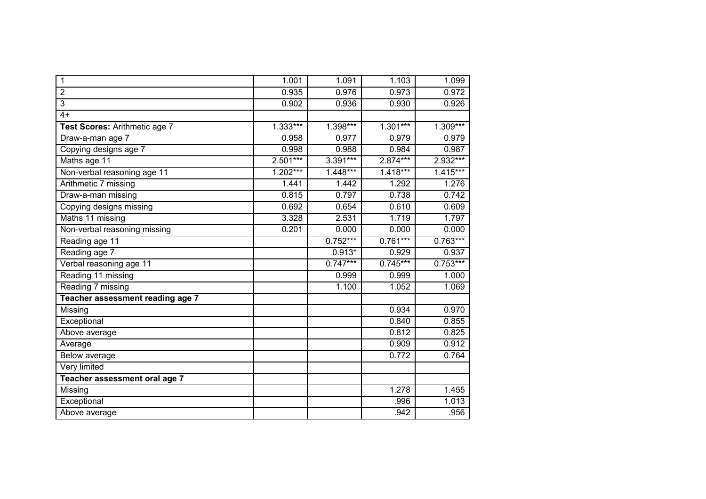| 1                                | 1.001      | 1.091      | 1.103      | 1.099      |
|----------------------------------|------------|------------|------------|------------|
| $\overline{2}$                   | 0.935      | 0.976      | 0.973      | 0.972      |
| $\overline{3}$                   | 0.902      | 0.936      | 0.930      | 0.926      |
| $4+$                             |            |            |            |            |
| Test Scores: Arithmetic age 7    | $1.333***$ | $1.398***$ | $1.301***$ | $1.309***$ |
| Draw-a-man age 7                 | 0.958      | 0.977      | 0.979      | 0.979      |
| Copying designs age 7            | 0.998      | 0.988      | 0.984      | 0.987      |
| Maths age 11                     | $2.501***$ | $3.391***$ | $2.874***$ | 2.932***   |
| Non-verbal reasoning age 11      | $1.202***$ | 1.448***   | $1.418***$ | $1.415***$ |
| Arithmetic 7 missing             | 1.441      | 1.442      | 1.292      | 1.276      |
| Draw-a-man missing               | 0.815      | 0.797      | 0.738      | 0.742      |
| Copying designs missing          | 0.692      | 0.654      | 0.610      | 0.609      |
| Maths 11 missing                 | 3.328      | 2.531      | 1.719      | 1.797      |
| Non-verbal reasoning missing     | 0.201      | 0.000      | 0.000      | 0.000      |
| Reading age 11                   |            | $0.752***$ | $0.761***$ | $0.763***$ |
| Reading age 7                    |            | $0.913*$   | 0.929      | 0.937      |
| Verbal reasoning age 11          |            | $0.747***$ | $0.745***$ | $0.753***$ |
| Reading 11 missing               |            | 0.999      | 0.999      | 1.000      |
| Reading 7 missing                |            | 1.100      | 1.052      | 1.069      |
| Teacher assessment reading age 7 |            |            |            |            |
| Missing                          |            |            | 0.934      | 0.970      |
| Exceptional                      |            |            | 0.840      | 0.855      |
| Above average                    |            |            | 0.812      | 0.825      |
| Average                          |            |            | 0.909      | 0.912      |
| Below average                    |            |            | 0.772      | 0.764      |
| Very limited                     |            |            |            |            |
| Teacher assessment oral age 7    |            |            |            |            |
| Missing                          |            |            | 1.278      | 1.455      |
| Exceptional                      |            |            | .996       | 1.013      |
| Above average                    |            |            | .942       | .956       |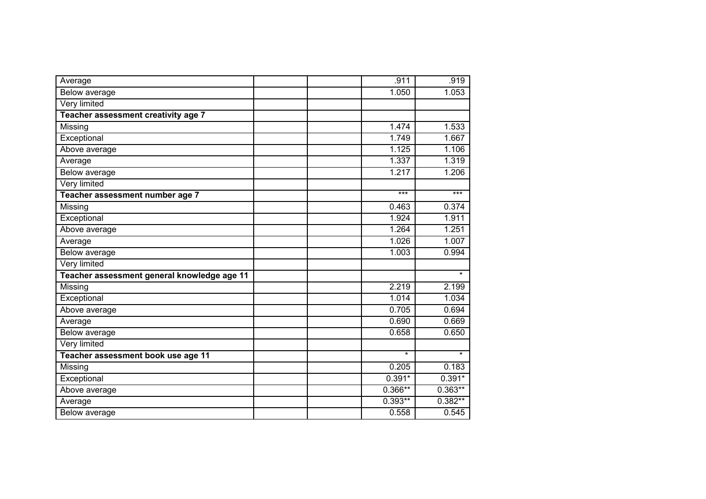| Average                                     | .911      | .919      |
|---------------------------------------------|-----------|-----------|
| <b>Below average</b>                        | 1.050     | 1.053     |
| <b>Very limited</b>                         |           |           |
| Teacher assessment creativity age 7         |           |           |
| Missing                                     | 1.474     | 1.533     |
| Exceptional                                 | 1.749     | 1.667     |
| Above average                               | 1.125     | 1.106     |
| Average                                     | 1.337     | 1.319     |
| Below average                               | 1.217     | 1.206     |
| Very limited                                |           |           |
| Teacher assessment number age 7             | ***       | $***$     |
| Missing                                     | 0.463     | 0.374     |
| Exceptional                                 | 1.924     | 1.911     |
| Above average                               | 1.264     | 1.251     |
| Average                                     | 1.026     | 1.007     |
| Below average                               | 1.003     | 0.994     |
| Very limited                                |           |           |
| Teacher assessment general knowledge age 11 |           | $\star$   |
| Missing                                     | 2.219     | 2.199     |
| Exceptional                                 | 1.014     | 1.034     |
| Above average                               | 0.705     | 0.694     |
| Average                                     | 0.690     | 0.669     |
| Below average                               | 0.658     | 0.650     |
| Very limited                                |           |           |
| Teacher assessment book use age 11          | $\star$   | $\star$   |
| Missing                                     | 0.205     | 0.183     |
| Exceptional                                 | $0.391*$  | $0.391*$  |
| Above average                               | $0.366**$ | $0.363**$ |
| Average                                     | $0.393**$ | $0.382**$ |
| Below average                               | 0.558     | 0.545     |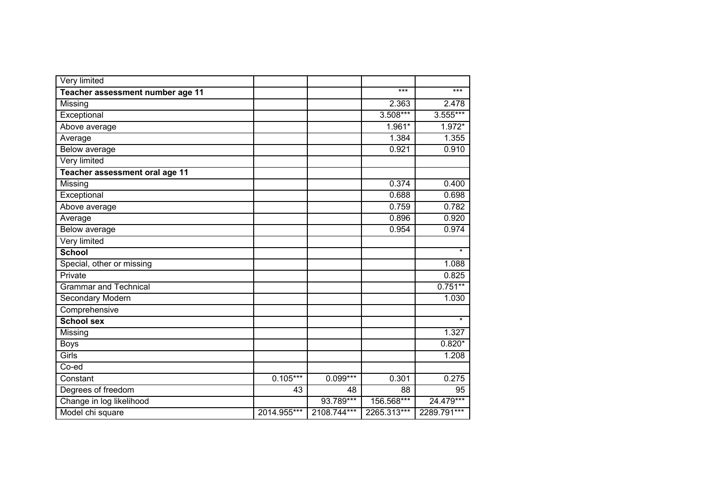| Very limited                     |             |             |             |             |
|----------------------------------|-------------|-------------|-------------|-------------|
| Teacher assessment number age 11 |             |             | ***         | $***$       |
| Missing                          |             |             | 2.363       | 2.478       |
| Exceptional                      |             |             | 3.508***    | 3.555***    |
| Above average                    |             |             | 1.961*      | 1.972*      |
| Average                          |             |             | 1.384       | 1.355       |
| Below average                    |             |             | 0.921       | 0.910       |
| Very limited                     |             |             |             |             |
| Teacher assessment oral age 11   |             |             |             |             |
| Missing                          |             |             | 0.374       | 0.400       |
| Exceptional                      |             |             | 0.688       | 0.698       |
| Above average                    |             |             | 0.759       | 0.782       |
| Average                          |             |             | 0.896       | 0.920       |
| Below average                    |             |             | 0.954       | 0.974       |
| Very limited                     |             |             |             |             |
| <b>School</b>                    |             |             |             | $\star$     |
| Special, other or missing        |             |             |             | 1.088       |
| Private                          |             |             |             | 0.825       |
| <b>Grammar and Technical</b>     |             |             |             | $0.751**$   |
| Secondary Modern                 |             |             |             | 1.030       |
| Comprehensive                    |             |             |             |             |
| <b>School sex</b>                |             |             |             | $\star$     |
| Missing                          |             |             |             | 1.327       |
| <b>Boys</b>                      |             |             |             | $0.820*$    |
| Girls                            |             |             |             | 1.208       |
| Co-ed                            |             |             |             |             |
| Constant                         | $0.105***$  | 0.099***    | 0.301       | 0.275       |
| Degrees of freedom               | 43          | 48          | 88          | 95          |
| Change in log likelihood         |             | 93.789***   | 156.568***  | 24.479***   |
| Model chi square                 | 2014.955*** | 2108.744*** | 2265.313*** | 2289.791*** |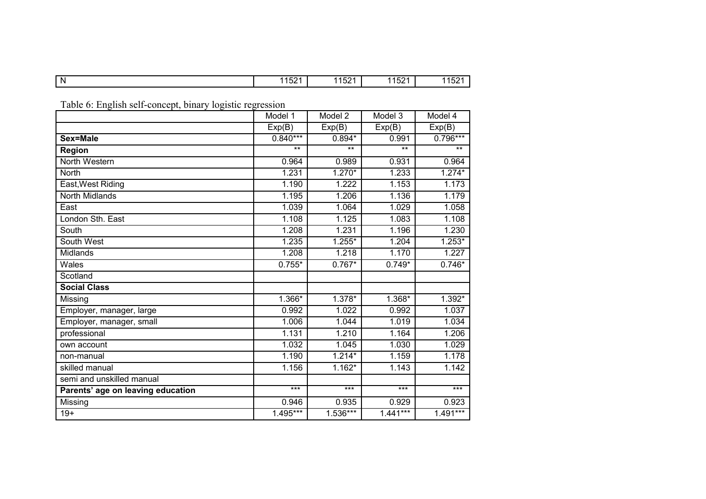|  | N | $\lambda = \Delta$<br>. .<br>л л і…<br>1 J Z | $-0.4$<br>- -<br><b>.</b><br>1 J J 4 1 | $  \cdot$<br>ג ר<br>л л<br>1 I 24 I | 10Z |
|--|---|----------------------------------------------|----------------------------------------|-------------------------------------|-----|
|--|---|----------------------------------------------|----------------------------------------|-------------------------------------|-----|

Table 6: English self-concept, binary logistic regression

|                                   | Model 1    | Model 2    | Model 3    | Model 4    |
|-----------------------------------|------------|------------|------------|------------|
|                                   |            |            |            |            |
|                                   | Exp(B)     | Exp(B)     | Exp(B)     | Exp(B)     |
| Sex=Male                          | $0.840***$ | $0.894*$   | 0.991      | $0.796***$ |
| <b>Region</b>                     | $***$      | $***$      | $***$      | $***$      |
| North Western                     | 0.964      | 0.989      | 0.931      | 0.964      |
| North                             | 1.231      | $1.270*$   | 1.233      | $1.274*$   |
| East, West Riding                 | 1.190      | 1.222      | 1.153      | 1.173      |
| <b>North Midlands</b>             | 1.195      | 1.206      | 1.136      | 1.179      |
| East                              | 1.039      | 1.064      | 1.029      | 1.058      |
| London Sth. East                  | 1.108      | 1.125      | 1.083      | 1.108      |
| South                             | 1.208      | 1.231      | 1.196      | 1.230      |
| South West                        | 1.235      | $1.255*$   | 1.204      | $1.253*$   |
| <b>Midlands</b>                   | 1.208      | 1.218      | 1.170      | 1.227      |
| Wales                             | $0.755*$   | $0.767*$   | $0.749*$   | $0.746*$   |
| Scotland                          |            |            |            |            |
| <b>Social Class</b>               |            |            |            |            |
| Missing                           | $1.366*$   | $1.378*$   | $1.368*$   | $1.392*$   |
| Employer, manager, large          | 0.992      | 1.022      | 0.992      | 1.037      |
| Employer, manager, small          | 1.006      | 1.044      | 1.019      | 1.034      |
| professional                      | 1.131      | 1.210      | 1.164      | 1.206      |
| own account                       | 1.032      | 1.045      | 1.030      | 1.029      |
| non-manual                        | 1.190      | $1.214*$   | 1.159      | 1.178      |
| skilled manual                    | 1.156      | $1.162*$   | 1.143      | 1.142      |
| semi and unskilled manual         |            |            |            |            |
| Parents' age on leaving education | $***$      | $***$      | $***$      | $***$      |
| Missing                           | 0.946      | 0.935      | 0.929      | 0.923      |
| $19+$                             | $1.495***$ | $1.536***$ | $1.441***$ | $1.491***$ |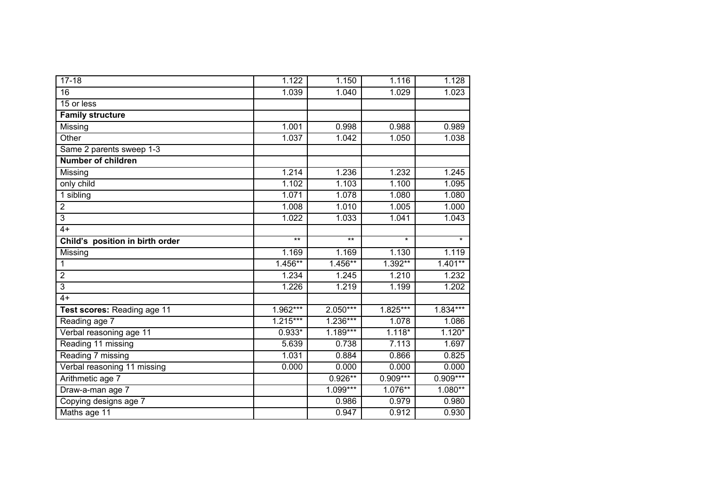| $17 - 18$                       | 1.122      | 1.150      | 1.116      | 1.128      |
|---------------------------------|------------|------------|------------|------------|
| $\overline{16}$                 | 1.039      | 1.040      | 1.029      | 1.023      |
| 15 or less                      |            |            |            |            |
| <b>Family structure</b>         |            |            |            |            |
| Missing                         | 1.001      | 0.998      | 0.988      | 0.989      |
| Other                           | 1.037      | 1.042      | 1.050      | 1.038      |
| Same 2 parents sweep 1-3        |            |            |            |            |
| <b>Number of children</b>       |            |            |            |            |
| Missing                         | 1.214      | 1.236      | 1.232      | 1.245      |
| only child                      | 1.102      | 1.103      | 1.100      | 1.095      |
| 1 sibling                       | 1.071      | 1.078      | 1.080      | 1.080      |
| $\overline{2}$                  | 1.008      | 1.010      | 1.005      | 1.000      |
| 3                               | 1.022      | 1.033      | 1.041      | 1.043      |
| $4+$                            |            |            |            |            |
| Child's position in birth order | $***$      | $***$      | $\star$    | $\star$    |
| Missing                         | 1.169      | 1.169      | 1.130      | 1.119      |
| 1                               | 1.456**    | $1.456***$ | 1.392**    | $1.401**$  |
| $\overline{2}$                  | 1.234      | 1.245      | 1.210      | 1.232      |
| 3                               | 1.226      | 1.219      | 1.199      | 1.202      |
| $4+$                            |            |            |            |            |
| Test scores: Reading age 11     | $1.962***$ | $2.050***$ | $1.825***$ | $1.834***$ |
| Reading age 7                   | $1.215***$ | $1.236***$ | 1.078      | 1.086      |
| Verbal reasoning age 11         | $0.933*$   | $1.189***$ | $1.118*$   | $1.120*$   |
| Reading 11 missing              | 5.639      | 0.738      | 7.113      | 1.697      |
| Reading 7 missing               | 1.031      | 0.884      | 0.866      | 0.825      |
| Verbal reasoning 11 missing     | 0.000      | 0.000      | 0.000      | 0.000      |
| Arithmetic age 7                |            | $0.926**$  | $0.909***$ | $0.909***$ |
| Draw-a-man age 7                |            | $1.099***$ | $1.076**$  | $1.080**$  |
| Copying designs age 7           |            | 0.986      | 0.979      | 0.980      |
| Maths age 11                    |            | 0.947      | 0.912      | 0.930      |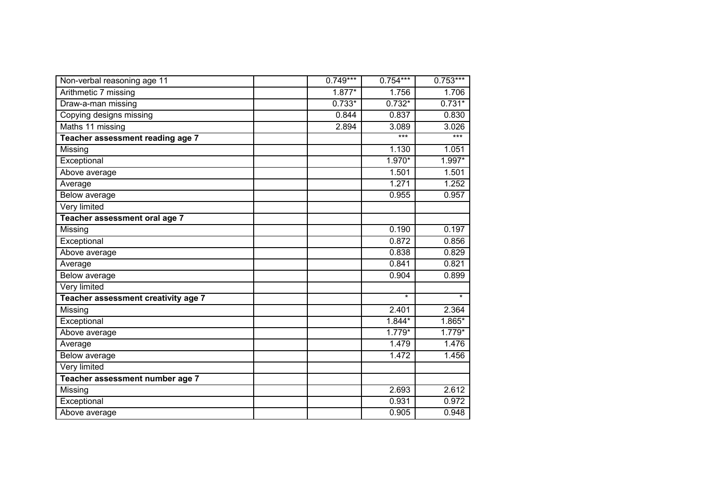| Non-verbal reasoning age 11         | $0.749***$ | $0.754***$ | $0.753***$ |
|-------------------------------------|------------|------------|------------|
| Arithmetic 7 missing                | $1.877*$   | 1.756      | 1.706      |
| Draw-a-man missing                  | $0.733*$   | $0.732*$   | $0.731*$   |
| Copying designs missing             | 0.844      | 0.837      | 0.830      |
| Maths 11 missing                    | 2.894      | 3.089      | 3.026      |
| Teacher assessment reading age 7    |            | ***        | $***$      |
| Missing                             |            | 1.130      | 1.051      |
| Exceptional                         |            | 1.970*     | $1.997*$   |
| Above average                       |            | 1.501      | 1.501      |
| Average                             |            | 1.271      | 1.252      |
| Below average                       |            | 0.955      | 0.957      |
| Very limited                        |            |            |            |
| Teacher assessment oral age 7       |            |            |            |
| Missing                             |            | 0.190      | 0.197      |
| Exceptional                         |            | 0.872      | 0.856      |
| Above average                       |            | 0.838      | 0.829      |
| Average                             |            | 0.841      | 0.821      |
| Below average                       |            | 0.904      | 0.899      |
| Very limited                        |            |            |            |
| Teacher assessment creativity age 7 |            | $\star$    | $\star$    |
| Missing                             |            | 2.401      | 2.364      |
| Exceptional                         |            | $1.844*$   | $1.865*$   |
| Above average                       |            | $1.779*$   | $1.779*$   |
| Average                             |            | 1.479      | 1.476      |
| Below average                       |            | 1.472      | 1.456      |
| Very limited                        |            |            |            |
| Teacher assessment number age 7     |            |            |            |
| Missing                             |            | 2.693      | 2.612      |
| Exceptional                         |            | 0.931      | 0.972      |
| Above average                       |            | 0.905      | 0.948      |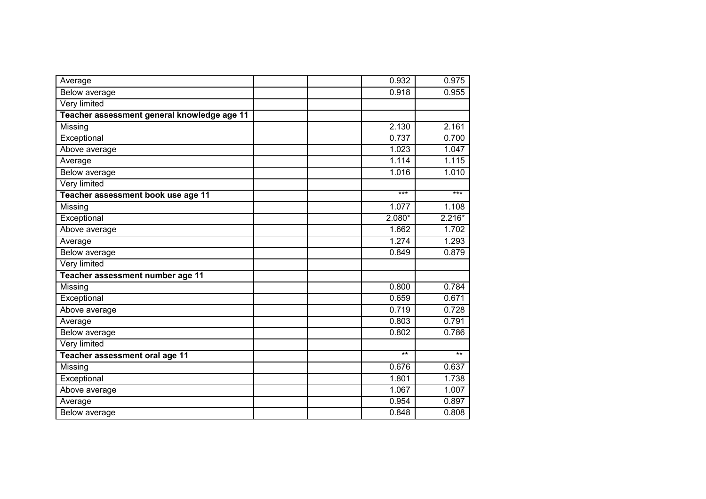| Average                                     |  | 0.932    | 0.975    |
|---------------------------------------------|--|----------|----------|
| <b>Below average</b>                        |  | 0.918    | 0.955    |
| <b>Very limited</b>                         |  |          |          |
| Teacher assessment general knowledge age 11 |  |          |          |
| Missing                                     |  | 2.130    | 2.161    |
| Exceptional                                 |  | 0.737    | 0.700    |
| Above average                               |  | 1.023    | 1.047    |
| Average                                     |  | 1.114    | 1.115    |
| Below average                               |  | 1.016    | 1.010    |
| Very limited                                |  |          |          |
| Teacher assessment book use age 11          |  | $***$    | $***$    |
| Missing                                     |  | 1.077    | 1.108    |
| Exceptional                                 |  | $2.080*$ | $2.216*$ |
| Above average                               |  | 1.662    | 1.702    |
| Average                                     |  | 1.274    | 1.293    |
| Below average                               |  | 0.849    | 0.879    |
| Very limited                                |  |          |          |
| Teacher assessment number age 11            |  |          |          |
| Missing                                     |  | 0.800    | 0.784    |
| Exceptional                                 |  | 0.659    | 0.671    |
| Above average                               |  | 0.719    | 0.728    |
| Average                                     |  | 0.803    | 0.791    |
| Below average                               |  | 0.802    | 0.786    |
| Very limited                                |  |          |          |
| Teacher assessment oral age 11              |  | $***$    | $***$    |
| Missing                                     |  | 0.676    | 0.637    |
| Exceptional                                 |  | 1.801    | 1.738    |
| Above average                               |  | 1.067    | 1.007    |
| Average                                     |  | 0.954    | 0.897    |
| Below average                               |  | 0.848    | 0.808    |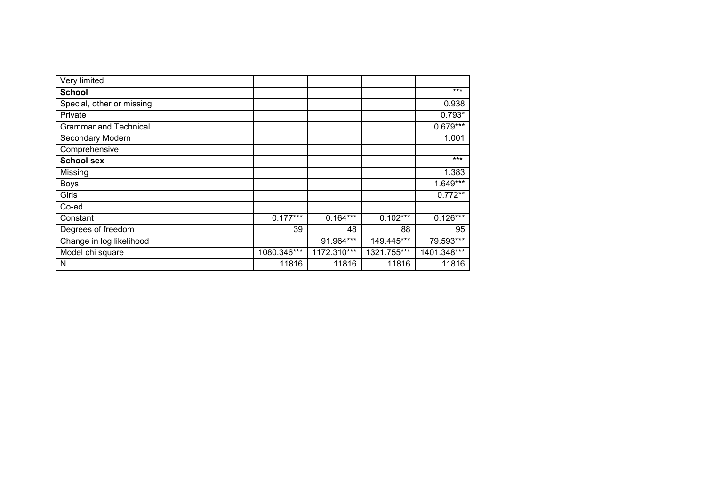| Very limited                 |             |             |             |             |
|------------------------------|-------------|-------------|-------------|-------------|
| <b>School</b>                |             |             |             | $***$       |
| Special, other or missing    |             |             |             | 0.938       |
| Private                      |             |             |             | $0.793*$    |
| <b>Grammar and Technical</b> |             |             |             | $0.679***$  |
| Secondary Modern             |             |             |             | 1.001       |
| Comprehensive                |             |             |             |             |
| <b>School sex</b>            |             |             |             | $***$       |
| Missing                      |             |             |             | 1.383       |
| <b>Boys</b>                  |             |             |             | $1.649***$  |
| Girls                        |             |             |             | $0.772**$   |
| Co-ed                        |             |             |             |             |
| Constant                     | $0.177***$  | $0.164***$  | $0.102***$  | $0.126***$  |
| Degrees of freedom           | 39          | 48          | 88          | 95          |
| Change in log likelihood     |             | 91.964***   | 149.445***  | 79.593***   |
| Model chi square             | 1080.346*** | 1172.310*** | 1321.755*** | 1401.348*** |
| N                            | 11816       | 11816       | 11816       | 11816       |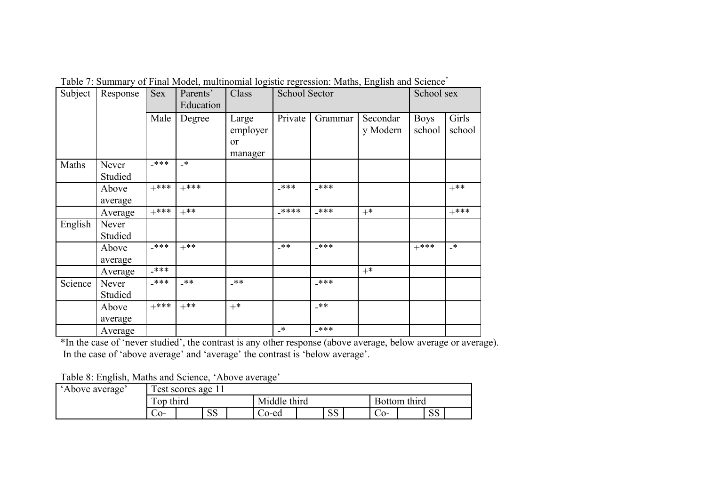| Subject | Response         | <b>Sex</b> | Parents'<br>Education | Class                              | <b>School Sector</b> |         |                      | School sex            |                 |  |
|---------|------------------|------------|-----------------------|------------------------------------|----------------------|---------|----------------------|-----------------------|-----------------|--|
|         |                  | Male       | Degree                | Large<br>employer<br>or<br>manager | Private              | Grammar | Secondar<br>y Modern | <b>Boys</b><br>school | Girls<br>school |  |
| Maths   | Never<br>Studied | $***$      | $\cdot$               |                                    |                      |         |                      |                       |                 |  |
|         | Above<br>average | $+***$     | $+***$                |                                    | _***                 | _***    |                      |                       | $+***$          |  |
|         | Average          | $+***$     | $+***$                |                                    | $****$               | _***    | $+^*$                |                       | $+***$          |  |
| English | Never<br>Studied |            |                       |                                    |                      |         |                      |                       |                 |  |
|         | Above<br>average | $-****$    | $+***$                |                                    | $-**$                | _***    |                      | $+***$                | $\rightarrow$   |  |
|         | Average          | _***       |                       |                                    |                      |         | $+^*$                |                       |                 |  |
| Science | Never<br>Studied | $***$      | $-**$                 | _**                                |                      | _***    |                      |                       |                 |  |
|         | Above<br>average | $+***$     | $+***$                | $+$ *                              |                      | $-**$   |                      |                       |                 |  |
|         | Average          |            |                       |                                    | $\cdot$              | _***    |                      |                       |                 |  |

Table 7: Summary of Final Model, multinomial logistic regression: Maths, English and Science<sup>\*</sup>

\*In the case of 'never studied', the contrast is any other response (above average, below average or average). In the case of 'above average' and 'average' the contrast is 'below average'.

Table 8: English, Maths and Science, 'Above average'

| 'Above average' |           | l'est scores age 11 |                |              |       |                |              |  |           |  |
|-----------------|-----------|---------------------|----------------|--------------|-------|----------------|--------------|--|-----------|--|
|                 | Top third |                     |                | Middle third |       |                | Bottom third |  |           |  |
|                 | $-0-$     |                     | $\alpha$<br>טט |              | Co-ed | $\Omega$<br>טט | $\sim$ 0-    |  | Q.Q<br>ນບ |  |